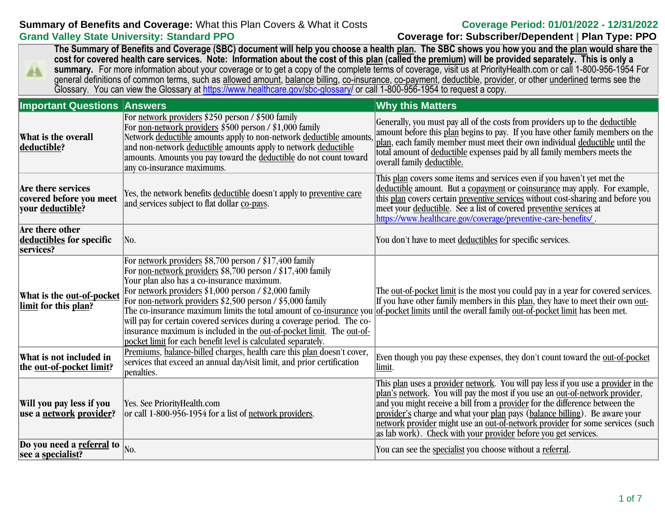# **Summary of Benefits and Coverage:** What this Plan Covers & What it Costs **Coverage Period: 01/01/2022 - 12/31/2022 Grand Valley State University: Standard PPO Coverage for: Subscriber/Dependent | Plan Type: PPO**

**The Summary of Benefits and Coverage (SBC) document will help you choose a health plan. The SBC shows you how you and the plan would share the cost for covered health care services. Note: Information about the cost of this plan (called the premium) will be provided separately. This is only a**  summary. For more information about your coverage or to get a copy of the complete terms of coverage, visit us at PriorityHealth.com or call 1-800-956-1954 For AA. general definitions of common terms, such as allowed amount, balance billing, co-insurance, co-payment, deductible, provider, or other underlined terms see the Glossary. You can view the Glossary at [https://www.healthcare.gov/sbc-glossary/](https://www.healthcare.gov/sbc-glossary) or call 1-800-956-1954 to request a copy.

| <b>Important Questions Answers</b>                                |                                                                                                                                                                                                                                                                                                                                                                                                                                                                                                                               | <b>Why this Matters</b>                                                                                                                                                                                                                                                                                                                                                                                                                                                              |
|-------------------------------------------------------------------|-------------------------------------------------------------------------------------------------------------------------------------------------------------------------------------------------------------------------------------------------------------------------------------------------------------------------------------------------------------------------------------------------------------------------------------------------------------------------------------------------------------------------------|--------------------------------------------------------------------------------------------------------------------------------------------------------------------------------------------------------------------------------------------------------------------------------------------------------------------------------------------------------------------------------------------------------------------------------------------------------------------------------------|
| What is the overall<br>deductible?                                | For network providers \$250 person / \$500 family<br>For non-network providers \$500 person / \$1,000 family<br>Network deductible amounts apply to non-network deductible amounts,<br>and non-network deductible amounts apply to network deductible<br>amounts. Amounts you pay toward the deductible do not count toward<br>any co-insurance maximums.                                                                                                                                                                     | Generally, you must pay all of the costs from providers up to the deductible<br>amount before this plan begins to pay. If you have other family members on the<br>plan, each family member must meet their own individual deductible until the<br>total amount of deductible expenses paid by all family members meets the<br>overall family deductible.                                                                                                                             |
| Are there services<br>covered before you meet<br>vour deductible? | Yes, the network benefits deductible doesn't apply to preventive care<br>and services subject to flat dollar co-pays.                                                                                                                                                                                                                                                                                                                                                                                                         | This plan covers some items and services even if you haven't yet met the<br>deductible amount. But a copayment or coinsurance may apply. For example,<br>this plan covers certain preventive services without cost-sharing and before you<br>meet your deductible. See a list of covered preventive services at<br>https://www.healthcare.gov/coverage/preventive-care-benefits/.                                                                                                    |
| Are there other<br>deductibles for specific<br>services?          | No.                                                                                                                                                                                                                                                                                                                                                                                                                                                                                                                           | You don't have to meet deductibles for specific services.                                                                                                                                                                                                                                                                                                                                                                                                                            |
| What is the out-of-pocket<br>limit for this plan?                 | For network providers $$8,700$ person / $$17,400$ family<br>For <u>non-network providers</u> \$8,700 person / \$17,400 family<br>Your plan also has a co-insurance maximum.<br>For network providers \$1,000 person / \$2,000 family<br>For <u>non-network providers</u> \$2,500 person / \$5,000 family<br>will pay for certain covered services during a coverage period. The co-<br>insurance maximum is included in the out-of-pocket limit. The out-of-<br>pocket limit for each benefit level is calculated separately. | The <u>out-of-pocket limit</u> is the most you could pay in a year for covered services.<br>If you have other family members in this plan, they have to meet their own out-<br>The co-insurance maximum limits the total amount of co-insurance you of-pocket limits until the overall family out-of-pocket limit has been met.                                                                                                                                                      |
| What is not included in<br>the out-of-pocket limit?               | Premiums, balance-billed charges, health care this plan doesn't cover,<br>services that exceed an annual day/visit limit, and prior certification<br>penalties.                                                                                                                                                                                                                                                                                                                                                               | Even though you pay these expenses, they don't count toward the <u>out-of-pocket</u><br>limit.                                                                                                                                                                                                                                                                                                                                                                                       |
| Will you pay less if you<br>use a network provider?               | Yes. See PriorityHealth.com<br>or call 1-800-956-1954 for a list of network providers.                                                                                                                                                                                                                                                                                                                                                                                                                                        | This plan uses a provider network. You will pay less if you use a provider in the<br>plan's network. You will pay the most if you use an out-of-network provider,<br>and you might receive a bill from a provider for the difference between the<br>provider's charge and what your plan pays (balance billing). Be aware your<br>network provider might use an out-of-network provider for some services (such  <br>as lab work). Check with your provider before you get services. |
| Do you need a referral to<br>see a specialist?                    | No.                                                                                                                                                                                                                                                                                                                                                                                                                                                                                                                           | You can see the specialist you choose without a referral.                                                                                                                                                                                                                                                                                                                                                                                                                            |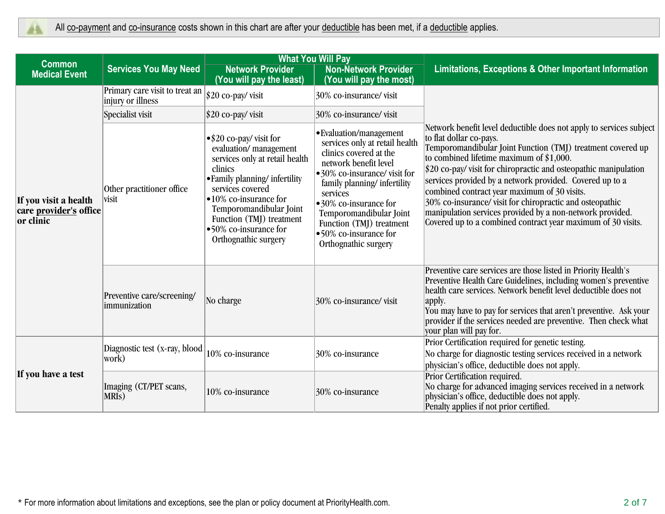|                                                              |                                                     | <b>What You Will Pay</b>                                                                                                                                                                                                                                                                    |                                                                                                                                                                                                                                                                                                                         |                                                                                                                                                                                                                                                                                                                                                                                                                                                                                                                                                                                     |  |
|--------------------------------------------------------------|-----------------------------------------------------|---------------------------------------------------------------------------------------------------------------------------------------------------------------------------------------------------------------------------------------------------------------------------------------------|-------------------------------------------------------------------------------------------------------------------------------------------------------------------------------------------------------------------------------------------------------------------------------------------------------------------------|-------------------------------------------------------------------------------------------------------------------------------------------------------------------------------------------------------------------------------------------------------------------------------------------------------------------------------------------------------------------------------------------------------------------------------------------------------------------------------------------------------------------------------------------------------------------------------------|--|
| <b>Common</b><br><b>Medical Event</b>                        | <b>Services You May Need</b>                        | <b>Network Provider</b><br>(You will pay the least)                                                                                                                                                                                                                                         | <b>Non-Network Provider</b><br>(You will pay the most)                                                                                                                                                                                                                                                                  | Limitations, Exceptions & Other Important Information                                                                                                                                                                                                                                                                                                                                                                                                                                                                                                                               |  |
|                                                              | Primary care visit to treat an<br>injury or illness | $ $20 co-pay/$ visit                                                                                                                                                                                                                                                                        | 30% co-insurance/visit                                                                                                                                                                                                                                                                                                  |                                                                                                                                                                                                                                                                                                                                                                                                                                                                                                                                                                                     |  |
|                                                              | Specialist visit                                    | $$20 co-pay/$ visit                                                                                                                                                                                                                                                                         | 30% co-insurance/visit                                                                                                                                                                                                                                                                                                  |                                                                                                                                                                                                                                                                                                                                                                                                                                                                                                                                                                                     |  |
| If you visit a health<br>care provider's office<br>or clinic | Other practitioner office<br>visit                  | $\bullet$ \$20 co-pay/visit for<br>evaluation/management<br>services only at retail health<br>clinics<br>• Family planning/infertility<br>services covered<br>•10% co-insurance for<br>Temporomandibular Joint<br>Function (TMJ) treatment<br>•50% co-insurance for<br>Orthognathic surgery | • Evaluation/management<br>services only at retail health<br>clinics covered at the<br>network benefit level<br>•30% co-insurance/visit for<br>family planning/infertility<br>services<br>•30% co-insurance for<br>Temporomandibular Joint<br>Function (TMJ) treatment<br>•50% co-insurance for<br>Orthognathic surgery | Network benefit level deductible does not apply to services subject<br>to flat dollar co-pays.<br>Temporomandibular Joint Function (TMJ) treatment covered up<br>to combined lifetime maximum of $$1,000$ .<br>\$20 co-pay/ visit for chiropractic and osteopathic manipulation<br>services provided by a network provided. Covered up to a<br>combined contract year maximum of 30 visits.<br>30% co-insurance/visit for chiropractic and osteopathic<br>manipulation services provided by a non-network provided.<br>Covered up to a combined contract year maximum of 30 visits. |  |
|                                                              | Preventive care/screening/<br>immunization          | No charge                                                                                                                                                                                                                                                                                   | 30% co-insurance/visit                                                                                                                                                                                                                                                                                                  | Preventive care services are those listed in Priority Health's<br>Preventive Health Care Guidelines, including women's preventive<br>health care services. Network benefit level deductible does not<br>apply.<br>You may have to pay for services that aren't preventive. Ask your<br>provider if the services needed are preventive. Then check what<br>your plan will pay for.                                                                                                                                                                                                   |  |
| If you have a test                                           | Diagnostic test (x-ray, blood<br> work)             | 10% co-insurance                                                                                                                                                                                                                                                                            | 30% co-insurance                                                                                                                                                                                                                                                                                                        | Prior Certification required for genetic testing.<br>No charge for diagnostic testing services received in a network<br>physician's office, deductible does not apply.                                                                                                                                                                                                                                                                                                                                                                                                              |  |
|                                                              | Imaging (CT/PET scans,<br>MRI <sub>S</sub> )        | 10% co-insurance                                                                                                                                                                                                                                                                            | 30% co-insurance                                                                                                                                                                                                                                                                                                        | Prior Certification required.<br>No charge for advanced imaging services received in a network<br>physician's office, deductible does not apply.<br>Penalty applies if not prior certified.                                                                                                                                                                                                                                                                                                                                                                                         |  |

\* For more information about limitations and exceptions, see the plan or policy document at PriorityHealth.com. 2 of 7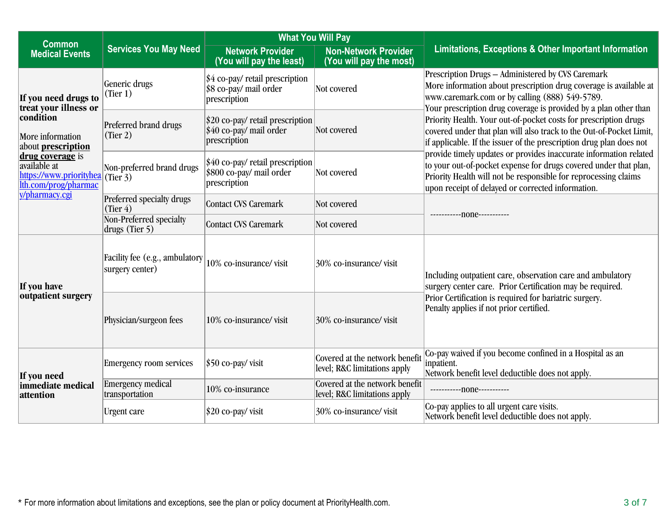| <b>Common</b>                                                                                                                                                                                        |                                                   | <b>What You Will Pay</b>                                                     |                                                                |                                                                                                                                                                                                                                                               |  |
|------------------------------------------------------------------------------------------------------------------------------------------------------------------------------------------------------|---------------------------------------------------|------------------------------------------------------------------------------|----------------------------------------------------------------|---------------------------------------------------------------------------------------------------------------------------------------------------------------------------------------------------------------------------------------------------------------|--|
| <b>Medical Events</b>                                                                                                                                                                                | <b>Services You May Need</b>                      | <b>Network Provider</b><br>(You will pay the least)                          | <b>Non-Network Provider</b><br>(You will pay the most)         | Limitations, Exceptions & Other Important Information                                                                                                                                                                                                         |  |
| If you need drugs to<br>treat your illness or<br>condition<br>More information<br>about prescription<br>drug coverage is<br>available at<br>https://www.priorityhea (Tier 3)<br>lth.com/prog/pharmac | Generic drugs<br>(Tier 1)                         | \$4 co-pay/ retail prescription<br>\$8 co-pay/ mail order<br>prescription    | Not covered                                                    | Prescription Drugs - Administered by CVS Caremark<br>More information about prescription drug coverage is available at<br>www.caremark.com or by calling (888) 549-5789.<br>Your prescription drug coverage is provided by a plan other than                  |  |
|                                                                                                                                                                                                      | Preferred brand drugs<br>(Tier 2)                 | $$20$ co-pay/ retail prescription<br>\$40 co-pay/ mail order<br>prescription | Not covered                                                    | Priority Health. Your out-of-pocket costs for prescription drugs<br>covered under that plan will also track to the Out-of-Pocket Limit,<br>if applicable. If the issuer of the prescription drug plan does not                                                |  |
|                                                                                                                                                                                                      | Non-preferred brand drugs                         | \$40 co-pay/ retail prescription<br>\$800 co-pay/ mail order<br>prescription | Not covered                                                    | provide timely updates or provides inaccurate information related<br>to your out-of-pocket expense for drugs covered under that plan,<br>Priority Health will not be responsible for reprocessing claims<br>upon receipt of delayed or corrected information. |  |
| y/pharmacy.cgi                                                                                                                                                                                       | Preferred specialty drugs<br>(Tier 4)             | Contact CVS Caremark                                                         | Not covered                                                    |                                                                                                                                                                                                                                                               |  |
|                                                                                                                                                                                                      | Non-Preferred specialty<br>drugs (Tier 5)         | <b>Contact CVS Caremark</b>                                                  | Not covered                                                    | ------------- none-----------                                                                                                                                                                                                                                 |  |
| If you have<br>outpatient surgery                                                                                                                                                                    | Facility fee (e.g., ambulatory<br>surgery center) | 10% co-insurance/visit                                                       | 30% co-insurance/visit                                         | Including outpatient care, observation care and ambulatory<br>surgery center care. Prior Certification may be required.                                                                                                                                       |  |
|                                                                                                                                                                                                      | Physician/surgeon fees                            | 10% co-insurance/visit                                                       | 30% co-insurance/visit                                         | Prior Certification is required for bariatric surgery.<br>Penalty applies if not prior certified.                                                                                                                                                             |  |
| If you need<br>immediate medical<br>attention                                                                                                                                                        | <b>Emergency room services</b>                    | $ $50 co-pay/$ visit                                                         | Covered at the network benefit<br>level; R&C limitations apply | Co-pay waived if you become confined in a Hospital as an<br>inpatient.<br>Network benefit level deductible does not apply.                                                                                                                                    |  |
|                                                                                                                                                                                                      | <b>Emergency medical</b><br>transportation        | 10% co-insurance                                                             | Covered at the network benefit<br>level; R&C limitations apply | ------------- none-----------                                                                                                                                                                                                                                 |  |
|                                                                                                                                                                                                      | <b>Urgent</b> care                                | \$20 co-pay/visit                                                            | 30% co-insurance/visit                                         | Co-pay applies to all urgent care visits.<br>Network benefit level deductible does not apply.                                                                                                                                                                 |  |

\* For more information about limitations and exceptions, see the plan or policy document at PriorityHealth.com. 3 of 7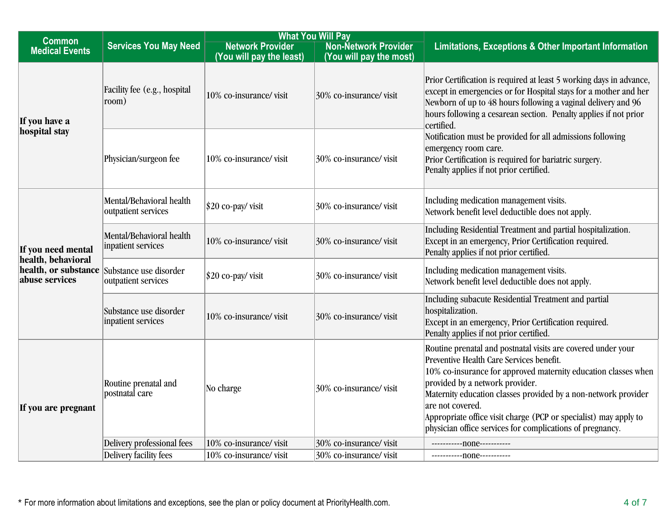| <b>What You Will Pay</b><br><b>Common</b>                                          |                                                 |                                                     |                                                        |                                                                                                                                                                                                                                                                                                                                                                                                                                      |
|------------------------------------------------------------------------------------|-------------------------------------------------|-----------------------------------------------------|--------------------------------------------------------|--------------------------------------------------------------------------------------------------------------------------------------------------------------------------------------------------------------------------------------------------------------------------------------------------------------------------------------------------------------------------------------------------------------------------------------|
| <b>Medical Events</b>                                                              | <b>Services You May Need</b>                    | <b>Network Provider</b><br>(You will pay the least) | <b>Non-Network Provider</b><br>(You will pay the most) | <b>Limitations, Exceptions &amp; Other Important Information</b>                                                                                                                                                                                                                                                                                                                                                                     |
| If you have a                                                                      | Facility fee (e.g., hospital<br>room)           | 10% co-insurance/visit                              | $30\%$ co-insurance/visit                              | Prior Certification is required at least 5 working days in advance,<br>except in emergencies or for Hospital stays for a mother and her<br>Newborn of up to 48 hours following a vaginal delivery and 96<br>hours following a cesarean section. Penalty applies if not prior<br>certified.                                                                                                                                           |
| hospital stay                                                                      | Physician/surgeon fee                           | 10% co-insurance/visit                              | 30% co-insurance/visit                                 | Notification must be provided for all admissions following<br>emergency room care.<br>Prior Certification is required for bariatric surgery.<br>Penalty applies if not prior certified.                                                                                                                                                                                                                                              |
|                                                                                    | Mental/Behavioral health<br>outpatient services | $$20$ co-pay/ visit                                 | 30% co-insurance/visit                                 | Including medication management visits.<br>Network benefit level deductible does not apply.                                                                                                                                                                                                                                                                                                                                          |
| If you need mental<br>health, behavioral<br>health, or substance<br>abuse services | Mental/Behavioral health<br>inpatient services  | 10% co-insurance/visit                              | 30% co-insurance/visit                                 | Including Residential Treatment and partial hospitalization.<br>Except in an emergency, Prior Certification required.<br>Penalty applies if not prior certified.                                                                                                                                                                                                                                                                     |
|                                                                                    | Substance use disorder<br>outpatient services   | $$20$ co-pay/ visit                                 | 30% co-insurance/visit                                 | Including medication management visits.<br>Network benefit level deductible does not apply.                                                                                                                                                                                                                                                                                                                                          |
|                                                                                    | Substance use disorder<br>inpatient services    | 10% co-insurance/visit                              | $30\%$ co-insurance/visit                              | Including subacute Residential Treatment and partial<br>hospitalization.<br>Except in an emergency, Prior Certification required.<br>Penalty applies if not prior certified.                                                                                                                                                                                                                                                         |
| If you are pregnant                                                                | Routine prenatal and<br>postnatal care          | No charge                                           | $30\%$ co-insurance/visit                              | Routine prenatal and postnatal visits are covered under your<br>Preventive Health Care Services benefit.<br>10% co-insurance for approved maternity education classes when<br>provided by a network provider.<br>Maternity education classes provided by a non-network provider<br>are not covered.<br>Appropriate office visit charge (PCP or specialist) may apply to<br>physician office services for complications of pregnancy. |
|                                                                                    | Delivery professional fees                      | 10% co-insurance/visit                              | $30\%$ co-insurance/visit                              |                                                                                                                                                                                                                                                                                                                                                                                                                                      |
|                                                                                    | Delivery facility fees                          | 10% co-insurance/visit                              | 30% co-insurance/visit                                 | ------------ none-----------                                                                                                                                                                                                                                                                                                                                                                                                         |

\* For more information about limitations and exceptions, see the plan or policy document at PriorityHealth.com. 4 of 7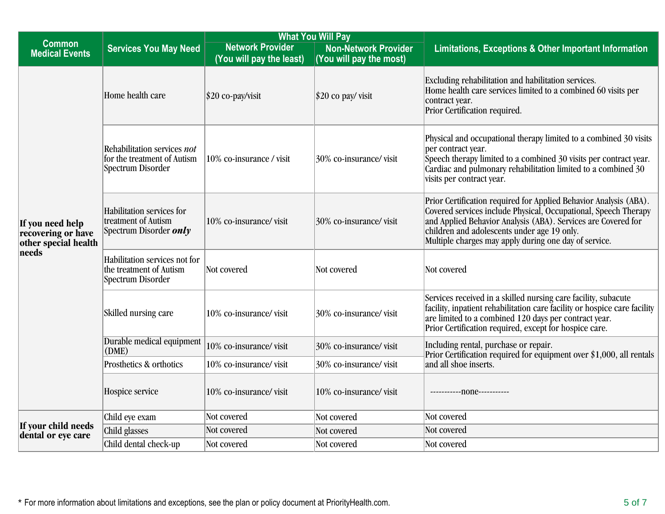|                                                                         | <b>What You Will Pay</b>                                                             |                                                     |                                                        |                                                                                                                                                                                                                                                                                                               |
|-------------------------------------------------------------------------|--------------------------------------------------------------------------------------|-----------------------------------------------------|--------------------------------------------------------|---------------------------------------------------------------------------------------------------------------------------------------------------------------------------------------------------------------------------------------------------------------------------------------------------------------|
| <b>Common</b><br><b>Medical Events</b>                                  | <b>Services You May Need</b>                                                         | <b>Network Provider</b><br>(You will pay the least) | <b>Non-Network Provider</b><br>(You will pay the most) | Limitations, Exceptions & Other Important Information                                                                                                                                                                                                                                                         |
| If you need help<br>recovering or have<br>other special health<br>needs | Home health care                                                                     | $ $20 co-pay/visit$                                 | $$20$ co pay/ visit                                    | Excluding rehabilitation and habilitation services.<br>Home health care services limited to a combined 60 visits per<br>contract year.<br>Prior Certification required.                                                                                                                                       |
|                                                                         | Rehabilitation services not<br>for the treatment of Autism<br>Spectrum Disorder      | 10% co-insurance / visit                            | 30% co-insurance/visit                                 | Physical and occupational therapy limited to a combined 30 visits<br>per contract year.<br>Speech therapy limited to a combined 30 visits per contract year.<br>Cardiac and pulmonary rehabilitation limited to a combined 30<br>visits per contract year.                                                    |
|                                                                         | Habilitation services for<br>treatment of Autism<br>Spectrum Disorder <i>only</i>    | 10% co-insurance/visit                              | 30% co-insurance/visit                                 | Prior Certification required for Applied Behavior Analysis (ABA).<br>Covered services include Physical, Occupational, Speech Therapy<br>and Applied Behavior Analysis (ABA). Services are Covered for<br>children and adolescents under age 19 only.<br>Multiple charges may apply during one day of service. |
|                                                                         | Habilitation services not for<br>the treatment of Autism<br><b>Spectrum Disorder</b> | Not covered                                         | Not covered                                            | Not covered                                                                                                                                                                                                                                                                                                   |
|                                                                         | Skilled nursing care                                                                 | 10% co-insurance/visit                              | 30% co-insurance/visit                                 | Services received in a skilled nursing care facility, subacute<br>facility, inpatient rehabilitation care facility or hospice care facility<br>are limited to a combined 120 days per contract year.<br>Prior Certification required, except for hospice care.                                                |
|                                                                         | Durable medical equipment<br>(DME)                                                   | 10% co-insurance/visit                              | 30% co-insurance/visit                                 | Including rental, purchase or repair.<br>Prior Certification required for equipment over \$1,000, all rentals                                                                                                                                                                                                 |
|                                                                         | Prosthetics & orthotics                                                              | 10% co-insurance/visit                              | 30% co-insurance/visit                                 | and all shoe inserts.                                                                                                                                                                                                                                                                                         |
|                                                                         | Hospice service                                                                      | 10% co-insurance/visit                              | 10% co-insurance/visit                                 | ------------none-----------                                                                                                                                                                                                                                                                                   |
|                                                                         | Child eye exam                                                                       | Not covered                                         | Not covered                                            | Not covered                                                                                                                                                                                                                                                                                                   |
| If your child needs<br>dental or eye care                               | Child glasses                                                                        | Not covered                                         | Not covered                                            | Not covered                                                                                                                                                                                                                                                                                                   |
|                                                                         | Child dental check-up                                                                | Not covered                                         | Not covered                                            | Not covered                                                                                                                                                                                                                                                                                                   |

\* For more information about limitations and exceptions, see the plan or policy document at PriorityHealth.com. 5 of 7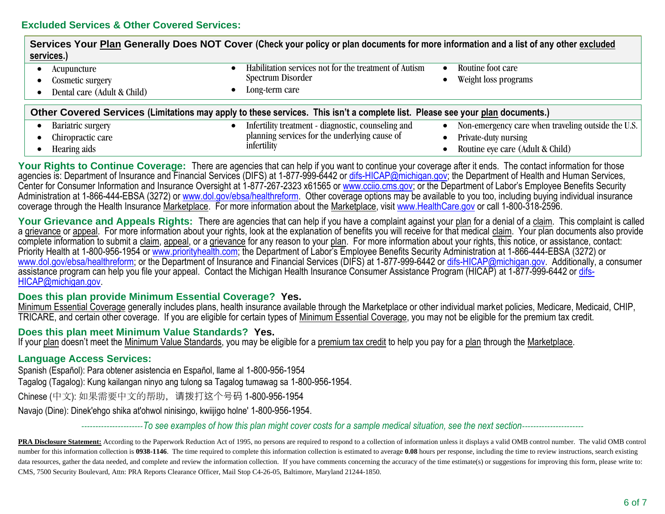| Services Your Plan Generally Does NOT Cover (Check your policy or plan documents for more information and a list of any other excluded<br>services.) |                                                                                              |                                                                 |
|------------------------------------------------------------------------------------------------------------------------------------------------------|----------------------------------------------------------------------------------------------|-----------------------------------------------------------------|
| Acupuncture<br>Cosmetic surgery<br>Dental care (Adult & Child)                                                                                       | Habilitation services not for the treatment of Autism<br>Spectrum Disorder<br>Long-term care | Routine foot care<br>Weight loss programs                       |
| Other Covered Services (Limitations may apply to these services. This isn't a complete list. Please see your plan documents.)                        |                                                                                              |                                                                 |
| Bariatric surgery                                                                                                                                    | Infertility treatment - diagnostic, counseling and                                           | Non-emergency care when traveling outside the U.S.<br>$\bullet$ |
| Chiropractic care                                                                                                                                    | planning services for the underlying cause of                                                | Private-duty nursing                                            |
| Hearing aids                                                                                                                                         | infertility                                                                                  | Routine eye care (Adult & Child)                                |

Your Rights to Continue Coverage: There are agencies that can help if you want to continue your coverage after it ends. The contact information for those agencies is: Department of Insurance and Financial Services (DIFS) at 1-877-999-6442 or [difs-HICAP@michigan.gov;](mailto:difs-HICAP@michigan.gov) the Department of Health and Human Services, Center for Consumer Information and Insurance Oversight at 1-877-267-2323 x61565 or [www.cciio.cms.gov;](http://www.cciio.cms.gov/) or the Department of Labor's Employee Benefits Security Administration at 1-866-444-EBSA (3272) or [www.dol.gov/ebsa/healthreform.](http://www.dol.gov/ebsa/healthreform) Other coverage options may be available to you too, including buying individual insurance coverage through the Health Insurance Marketplace. For more information about the Marketplace, visit [www.HealthCare.gov](http://www.healthcare.gov/) or call 1-800-318-2596.

Your Grievance and Appeals Rights: There are agencies that can help if you have a complaint against your plan for a denial of a claim. This complaint is called a grievance or appeal. For more information about your rights, look at the explanation of benefits you will receive for that medical claim. Your plan documents also provide complete information to submit a claim, appeal, or a grievance for any reason to your plan. For more information about your rights, this notice, or assistance, contact: Priority Health at 1-800-956-1954 or [www.priorityhealth.com](http://www.priorityhealth.com/); the Department of Labor's Employee Benefits Security Administration at 1-866-444-EBSA (3272) or [www.dol.gov/ebsa/healthreform;](http://www.dol.gov/ebsa/healthreform) or the Department of Insurance and Financial Services (DIFS) at 1-877-999-6442 or [difs-HICAP@michigan.gov.](mailto:difs-HICAP@michigan.gov) Additionally, a consumer assistance program can help you file your appeal. Contact the Michigan Health Insurance Consumer Assistance Program (HICAP) at 1-877-999-6442 or [difs-](mailto:difs-HICAP@michigan.gov)[HICAP@michigan.gov.](mailto:difs-HICAP@michigan.gov)

# **Does this plan provide Minimum Essential Coverage? Yes.**

Minimum Essential Coverage generally includes plans, health insurance available through the Marketplace or other individual market policies, Medicare, Medicaid, CHIP, TRICARE, and certain other coverage. If you are eligible for certain types of Minimum Essential Coverage, you may not be eligible for the premium tax credit.

# **Does this plan meet Minimum Value Standards? Yes.**

If your plan doesn't meet the Minimum Value Standards, you may be eligible for a premium tax credit to help you pay for a plan through the Marketplace.

# **Language Access Services:**

Spanish (Español): Para obtener asistencia en Español, llame al 1-800-956-1954

Tagalog (Tagalog): Kung kailangan ninyo ang tulong sa Tagalog tumawag sa 1-800-956-1954.

Chinese (中文): 如果需要中文的帮助,请拨打这个号码 1-800-956-1954

Navajo (Dine): Dinek'ehgo shika at'ohwol ninisingo, kwiijigo holne' 1-800-956-1954.

----------------------*To see examples of how this plan might cover costs for a sample medical situation, see the next section*----------------------

PRA Disclosure Statement: According to the Paperwork Reduction Act of 1995, no persons are required to respond to a collection of information unless it displays a valid OMB control number. The valid OMB control number for this information collection is 0938-1146. The time required to complete this information collection is estimated to average 0.08 hours per response, including the time to review instructions, search existing data resources, gather the data needed, and complete and review the information collection. If you have comments concerning the accuracy of the time estimate(s) or suggestions for improving this form, please write to: CMS, 7500 Security Boulevard, Attn: PRA Reports Clearance Officer, Mail Stop C4-26-05, Baltimore, Maryland 21244-1850.